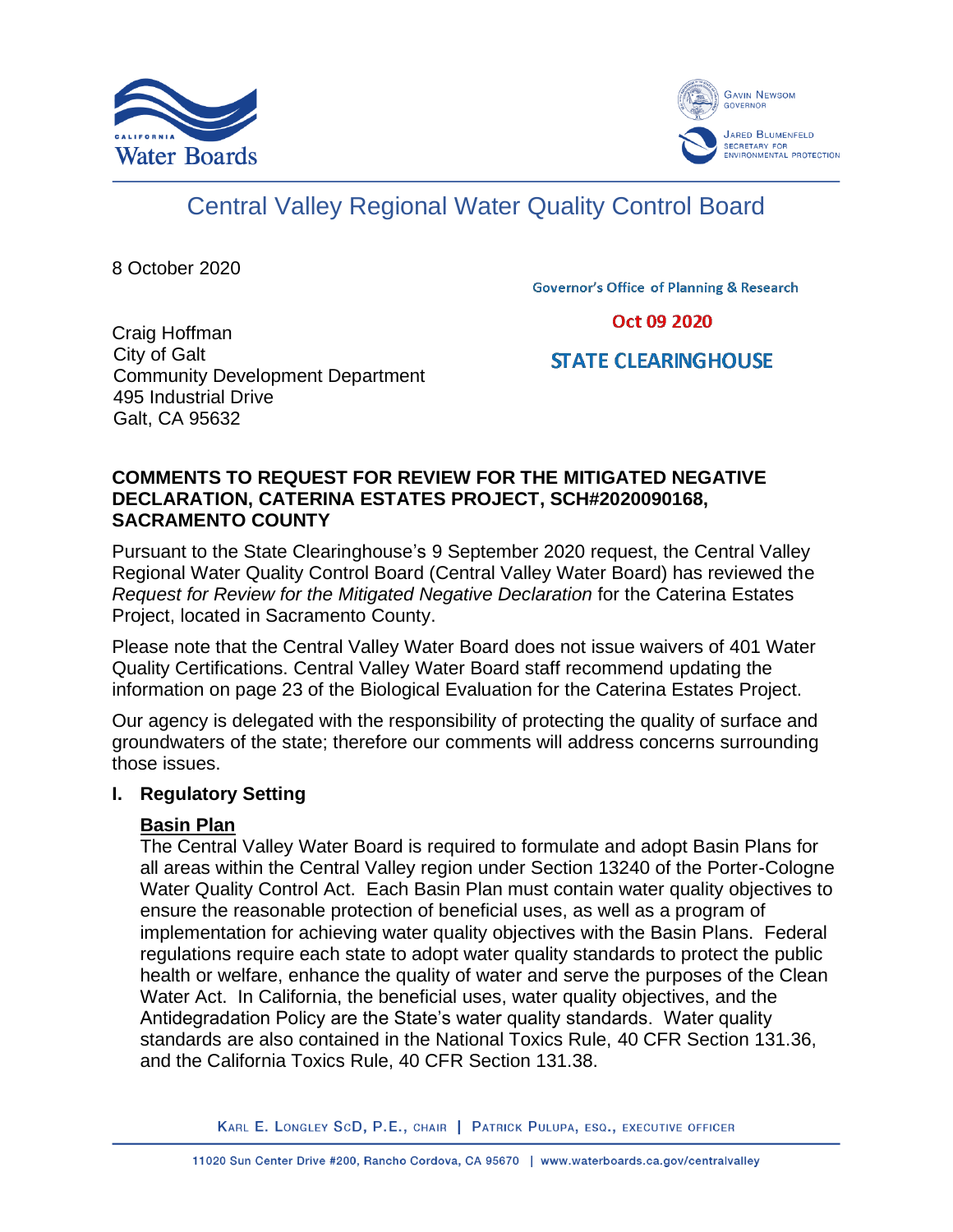



# Central Valley Regional Water Quality Control Board

8 October 2020

**Governor's Office of Planning & Research** 

Oct 09 2020

#### Craig Hoffman City of Galt Community Development Department 495 Industrial Drive Galt, CA 95632

# **STATE CLEARINGHOUSE**

#### **COMMENTS TO REQUEST FOR REVIEW FOR THE MITIGATED NEGATIVE DECLARATION, CATERINA ESTATES PROJECT, SCH#2020090168, SACRAMENTO COUNTY**

Pursuant to the State Clearinghouse's 9 September 2020 request, the Central Valley Regional Water Quality Control Board (Central Valley Water Board) has reviewed the *Request for Review for the Mitigated Negative Declaration* for the Caterina Estates Project, located in Sacramento County.

Please note that the Central Valley Water Board does not issue waivers of 401 Water Quality Certifications. Central Valley Water Board staff recommend updating the information on page 23 of the Biological Evaluation for the Caterina Estates Project.

Our agency is delegated with the responsibility of protecting the quality of surface and groundwaters of the state; therefore our comments will address concerns surrounding those issues.

# **I. Regulatory Setting**

# **Basin Plan**

The Central Valley Water Board is required to formulate and adopt Basin Plans for all areas within the Central Valley region under Section 13240 of the Porter-Cologne Water Quality Control Act. Each Basin Plan must contain water quality objectives to ensure the reasonable protection of beneficial uses, as well as a program of implementation for achieving water quality objectives with the Basin Plans. Federal regulations require each state to adopt water quality standards to protect the public health or welfare, enhance the quality of water and serve the purposes of the Clean Water Act. In California, the beneficial uses, water quality objectives, and the Antidegradation Policy are the State's water quality standards. Water quality standards are also contained in the National Toxics Rule, 40 CFR Section 131.36, and the California Toxics Rule, 40 CFR Section 131.38.

KARL E. LONGLEY SCD, P.E., CHAIR | PATRICK PULUPA, ESQ., EXECUTIVE OFFICER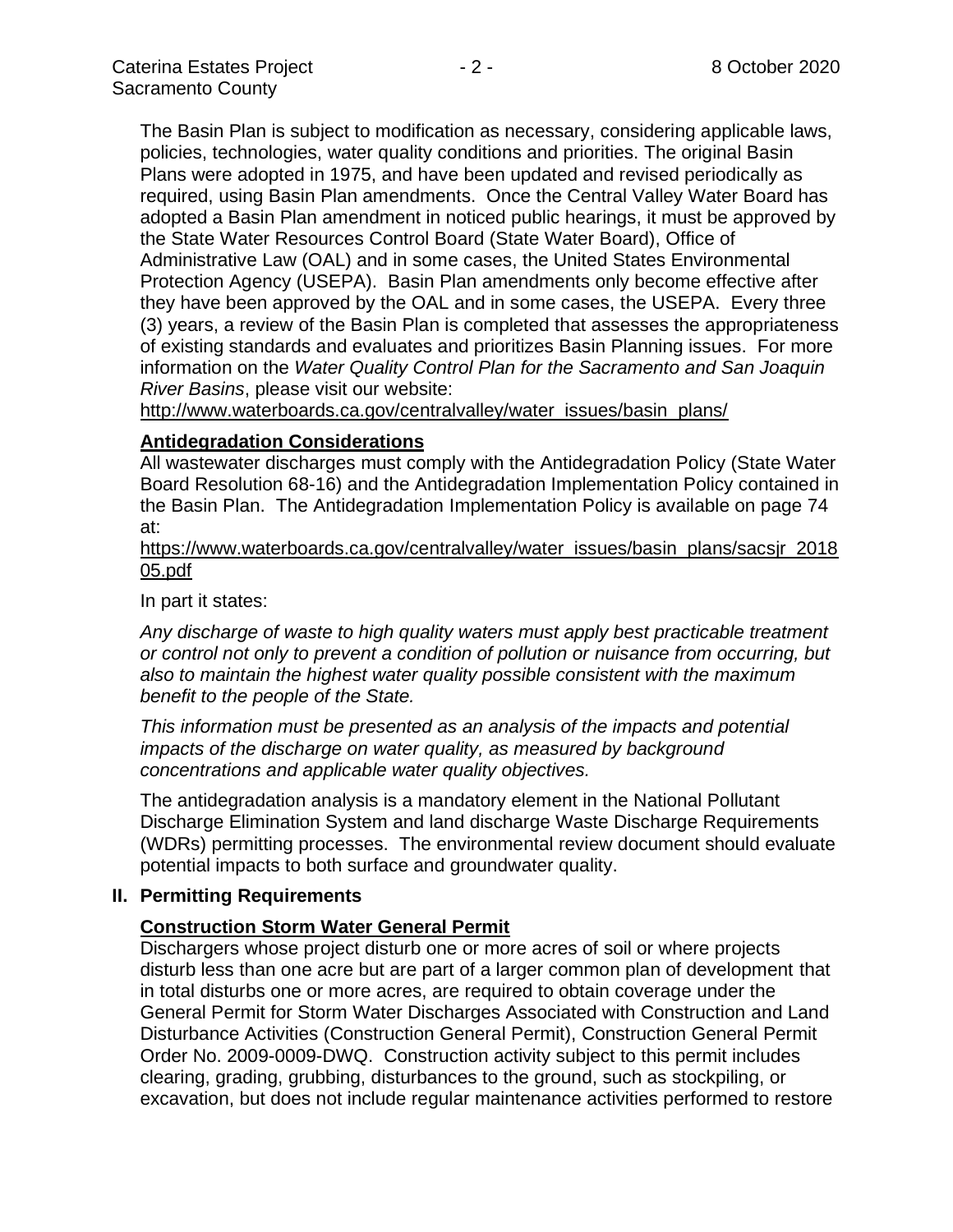The Basin Plan is subject to modification as necessary, considering applicable laws, policies, technologies, water quality conditions and priorities. The original Basin Plans were adopted in 1975, and have been updated and revised periodically as required, using Basin Plan amendments. Once the Central Valley Water Board has adopted a Basin Plan amendment in noticed public hearings, it must be approved by the State Water Resources Control Board (State Water Board), Office of Administrative Law (OAL) and in some cases, the United States Environmental Protection Agency (USEPA). Basin Plan amendments only become effective after they have been approved by the OAL and in some cases, the USEPA. Every three (3) years, a review of the Basin Plan is completed that assesses the appropriateness of existing standards and evaluates and prioritizes Basin Planning issues. For more information on the *Water Quality Control Plan for the Sacramento and San Joaquin River Basins*, please visit our website:

[http://www.waterboards.ca.gov/centralvalley/water\\_issues/basin\\_plans/](http://www.waterboards.ca.gov/centralvalley/water_issues/basin_plans/)

#### **Antidegradation Considerations**

All wastewater discharges must comply with the Antidegradation Policy (State Water Board Resolution 68-16) and the Antidegradation Implementation Policy contained in the Basin Plan. The Antidegradation Implementation Policy is available on page 74 at:

https://www.waterboards.ca.gov/centralvalley/water\_issues/basin\_plans/sacsjr\_2018 05.pdf

In part it states:

*Any discharge of waste to high quality waters must apply best practicable treatment or control not only to prevent a condition of pollution or nuisance from occurring, but also to maintain the highest water quality possible consistent with the maximum benefit to the people of the State.*

*This information must be presented as an analysis of the impacts and potential impacts of the discharge on water quality, as measured by background concentrations and applicable water quality objectives.*

The antidegradation analysis is a mandatory element in the National Pollutant Discharge Elimination System and land discharge Waste Discharge Requirements (WDRs) permitting processes. The environmental review document should evaluate potential impacts to both surface and groundwater quality.

#### **II. Permitting Requirements**

#### **Construction Storm Water General Permit**

Dischargers whose project disturb one or more acres of soil or where projects disturb less than one acre but are part of a larger common plan of development that in total disturbs one or more acres, are required to obtain coverage under the General Permit for Storm Water Discharges Associated with Construction and Land Disturbance Activities (Construction General Permit), Construction General Permit Order No. 2009-0009-DWQ. Construction activity subject to this permit includes clearing, grading, grubbing, disturbances to the ground, such as stockpiling, or excavation, but does not include regular maintenance activities performed to restore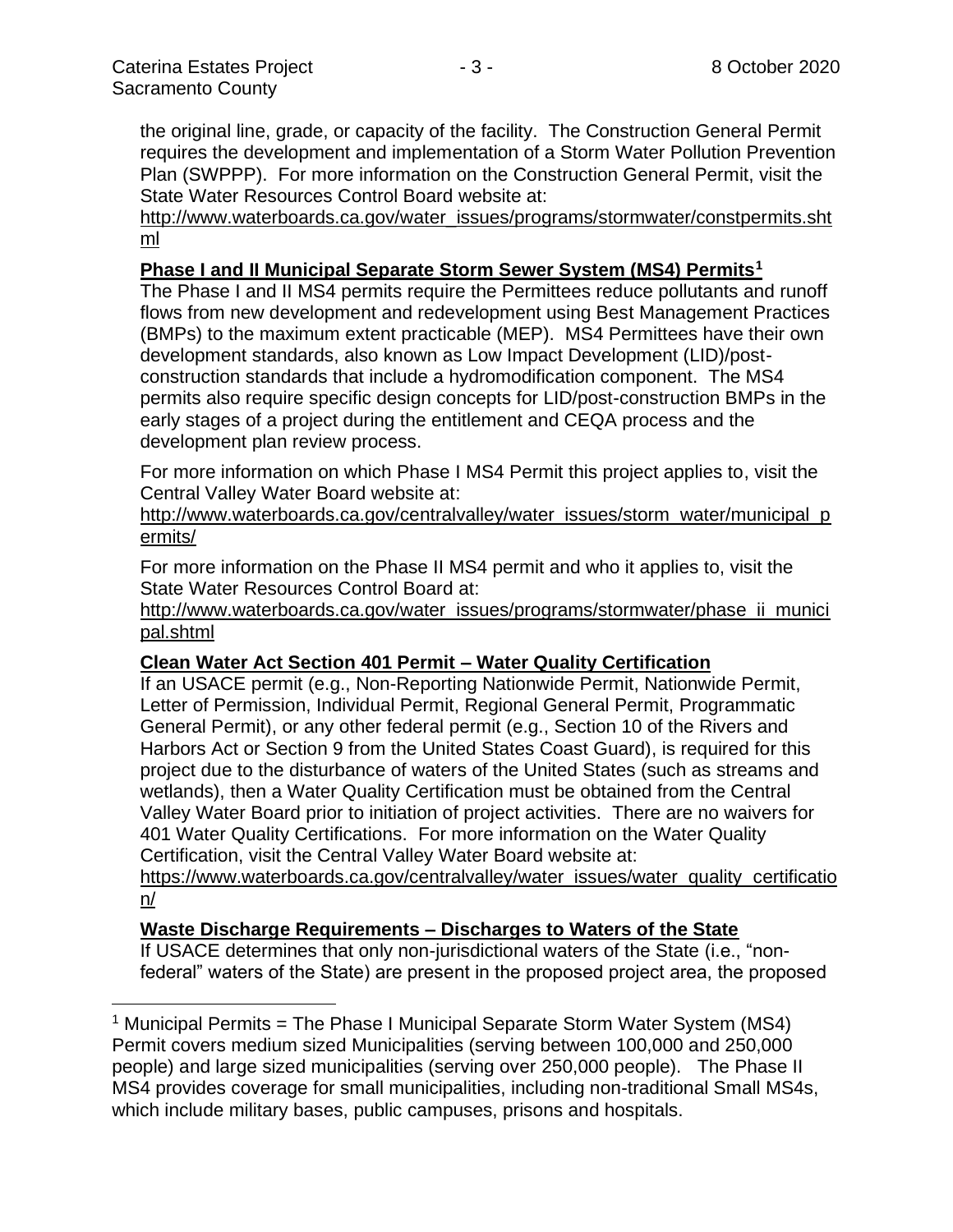the original line, grade, or capacity of the facility. The Construction General Permit requires the development and implementation of a Storm Water Pollution Prevention Plan (SWPPP). For more information on the Construction General Permit, visit the State Water Resources Control Board website at:

[http://www.waterboards.ca.gov/water\\_issues/programs/stormwater/constpermits.sht](http://www.waterboards.ca.gov/water_issues/programs/stormwater/constpermits.shtml) [ml](http://www.waterboards.ca.gov/water_issues/programs/stormwater/constpermits.shtml)

### **Phase I and II Municipal Separate Storm Sewer System (MS4) Permits<sup>1</sup>**

The Phase I and II MS4 permits require the Permittees reduce pollutants and runoff flows from new development and redevelopment using Best Management Practices (BMPs) to the maximum extent practicable (MEP). MS4 Permittees have their own development standards, also known as Low Impact Development (LID)/postconstruction standards that include a hydromodification component. The MS4 permits also require specific design concepts for LID/post-construction BMPs in the early stages of a project during the entitlement and CEQA process and the development plan review process.

For more information on which Phase I MS4 Permit this project applies to, visit the Central Valley Water Board website at:

http://www.waterboards.ca.gov/centralvalley/water\_issues/storm\_water/municipal\_p ermits/

For more information on the Phase II MS4 permit and who it applies to, visit the State Water Resources Control Board at:

http://www.waterboards.ca.gov/water\_issues/programs/stormwater/phase\_ii\_munici pal.shtml

# **Clean Water Act Section 401 Permit – Water Quality Certification**

If an USACE permit (e.g., Non-Reporting Nationwide Permit, Nationwide Permit, Letter of Permission, Individual Permit, Regional General Permit, Programmatic General Permit), or any other federal permit (e.g., Section 10 of the Rivers and Harbors Act or Section 9 from the United States Coast Guard), is required for this project due to the disturbance of waters of the United States (such as streams and wetlands), then a Water Quality Certification must be obtained from the Central Valley Water Board prior to initiation of project activities. There are no waivers for 401 Water Quality Certifications. For more information on the Water Quality Certification, visit the Central Valley Water Board website at:

https://www.waterboards.ca.gov/centralvalley/water\_issues/water\_quality\_certificatio n/

# **Waste Discharge Requirements – Discharges to Waters of the State**

If USACE determines that only non-jurisdictional waters of the State (i.e., "nonfederal" waters of the State) are present in the proposed project area, the proposed

<sup>&</sup>lt;sup>1</sup> Municipal Permits = The Phase I Municipal Separate Storm Water System (MS4) Permit covers medium sized Municipalities (serving between 100,000 and 250,000 people) and large sized municipalities (serving over 250,000 people). The Phase II MS4 provides coverage for small municipalities, including non-traditional Small MS4s, which include military bases, public campuses, prisons and hospitals.